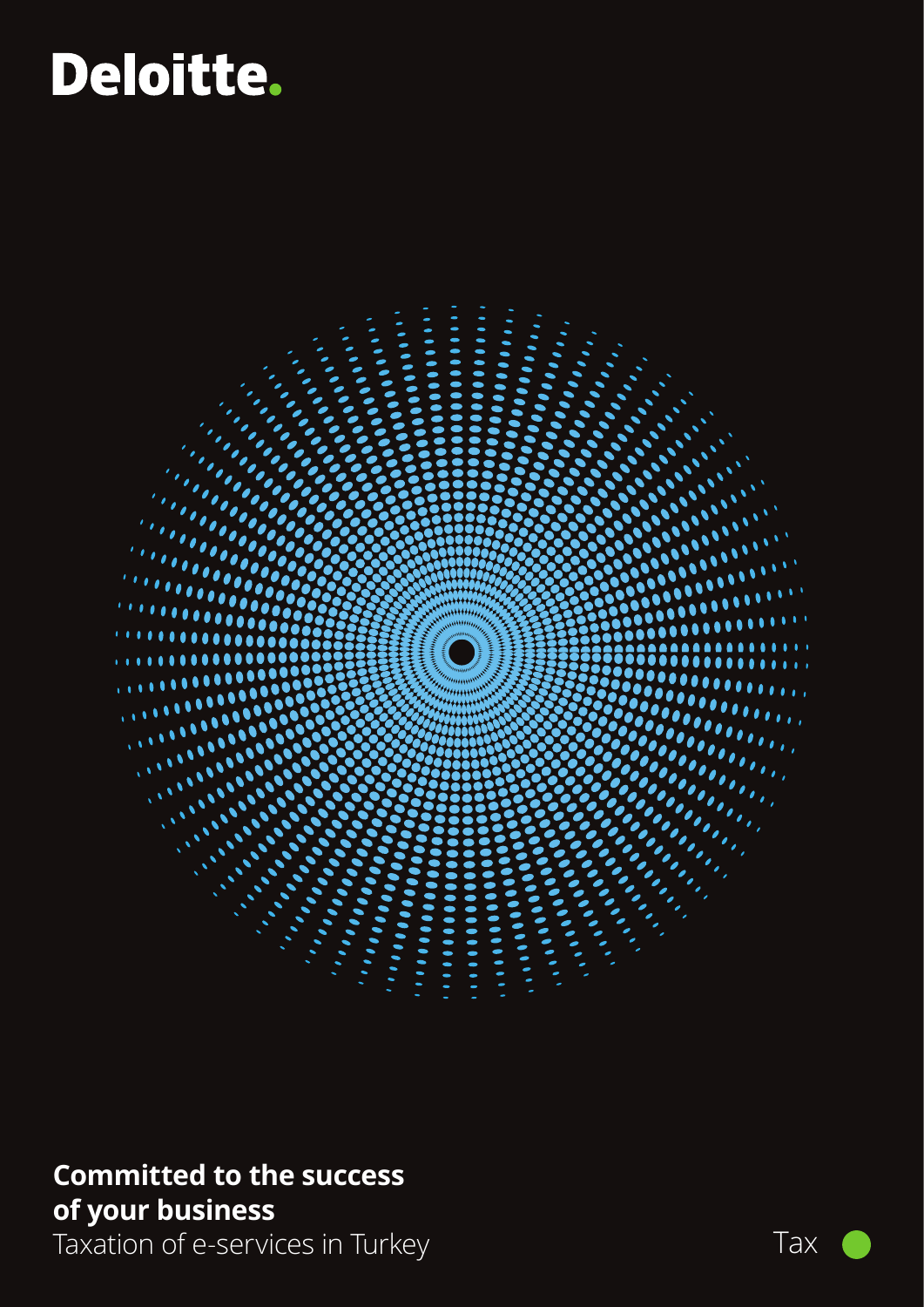# Deloitte.



# **Committed to the success of your business**

Taxation of e-services in Turkey Taxation of e-services in Turkey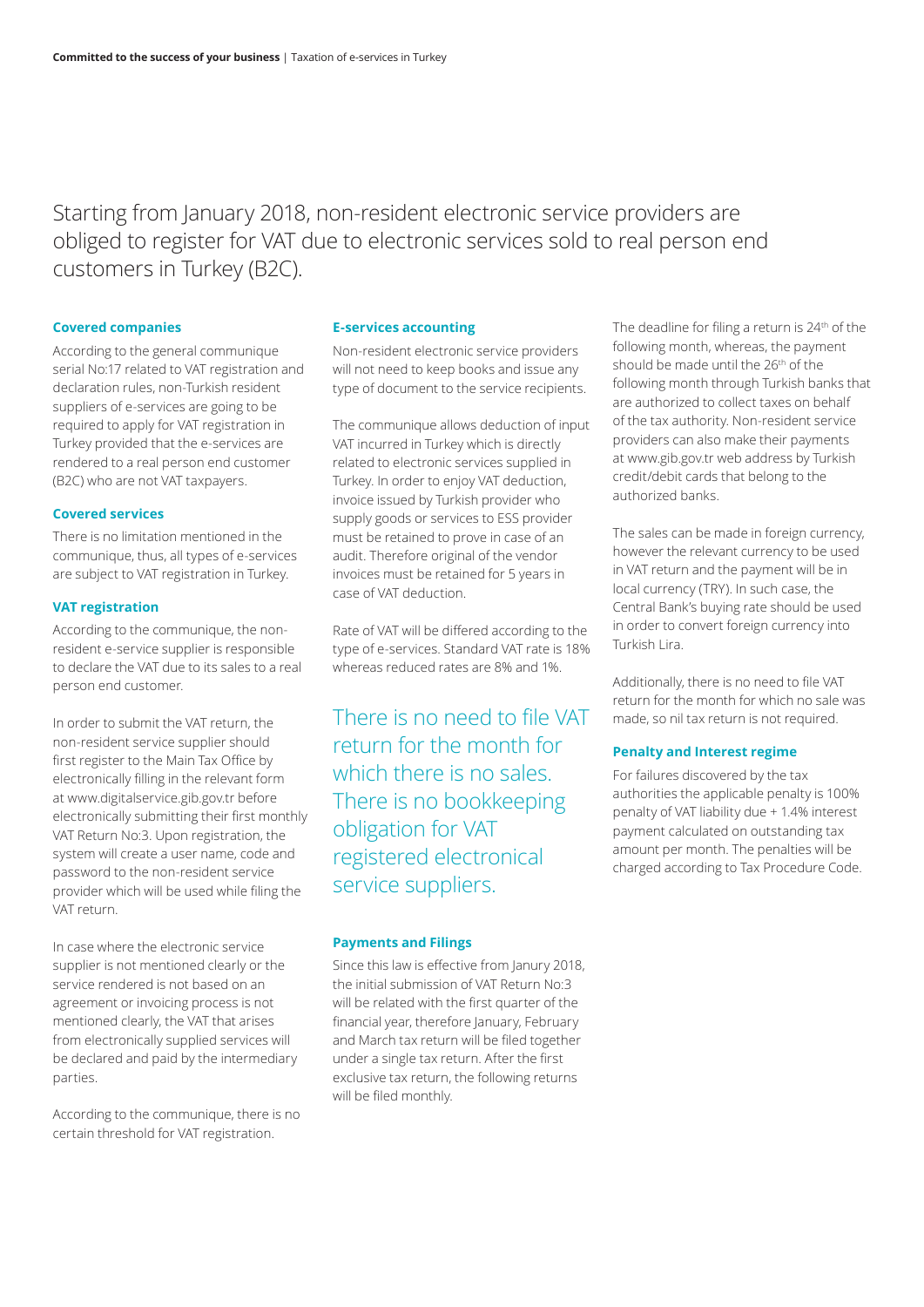Starting from January 2018, non-resident electronic service providers are obliged to register for VAT due to electronic services sold to real person end customers in Turkey (B2C).

### **Covered companies**

According to the general communique serial No:17 related to VAT registration and declaration rules, non-Turkish resident suppliers of e-services are going to be required to apply for VAT registration in Turkey provided that the e-services are rendered to a real person end customer (B2C) who are not VAT taxpayers.

## **Covered services**

There is no limitation mentioned in the communique, thus, all types of e-services are subject to VAT registration in Turkey.

# **VAT registration**

According to the communique, the nonresident e-service supplier is responsible to declare the VAT due to its sales to a real person end customer.

In order to submit the VAT return, the non-resident service supplier should first register to the Main Tax Office by electronically filling in the relevant form at www.digitalservice.gib.gov.tr before electronically submitting their first monthly VAT Return No:3. Upon registration, the system will create a user name, code and password to the non-resident service provider which will be used while filing the VAT return.

In case where the electronic service supplier is not mentioned clearly or the service rendered is not based on an agreement or invoicing process is not mentioned clearly, the VAT that arises from electronically supplied services will be declared and paid by the intermediary parties.

According to the communique, there is no certain threshold for VAT registration.

### **E-services accounting**

Non-resident electronic service providers will not need to keep books and issue any type of document to the service recipients.

The communique allows deduction of input VAT incurred in Turkey which is directly related to electronic services supplied in Turkey. In order to enjoy VAT deduction, invoice issued by Turkish provider who supply goods or services to ESS provider must be retained to prove in case of an audit. Therefore original of the vendor invoices must be retained for 5 years in case of VAT deduction.

Rate of VAT will be differed according to the type of e-services. Standard VAT rate is 18% whereas reduced rates are 8% and 1%.

There is no need to file VAT return for the month for which there is no sales. There is no bookkeeping obligation for VAT registered electronical service suppliers.

# **Payments and Filings**

Since this law is effective from Janury 2018, the initial submission of VAT Return No:3 will be related with the first quarter of the financial year, therefore January, February and March tax return will be filed together under a single tax return. After the first exclusive tax return, the following returns will be filed monthly.

The deadline for filing a return is 24<sup>th</sup> of the following month, whereas, the payment should be made until the 26<sup>th</sup> of the following month through Turkish banks that are authorized to collect taxes on behalf of the tax authority. Non-resident service providers can also make their payments at www.gib.gov.tr web address by Turkish credit/debit cards that belong to the authorized banks.

The sales can be made in foreign currency, however the relevant currency to be used in VAT return and the payment will be in local currency (TRY). In such case, the Central Bank's buying rate should be used in order to convert foreign currency into Turkish Lira.

Additionally, there is no need to file VAT return for the month for which no sale was made, so nil tax return is not required.

# **Penalty and Interest regime**

For failures discovered by the tax authorities the applicable penalty is 100% penalty of VAT liability due + 1.4% interest payment calculated on outstanding tax amount per month. The penalties will be charged according to Tax Procedure Code.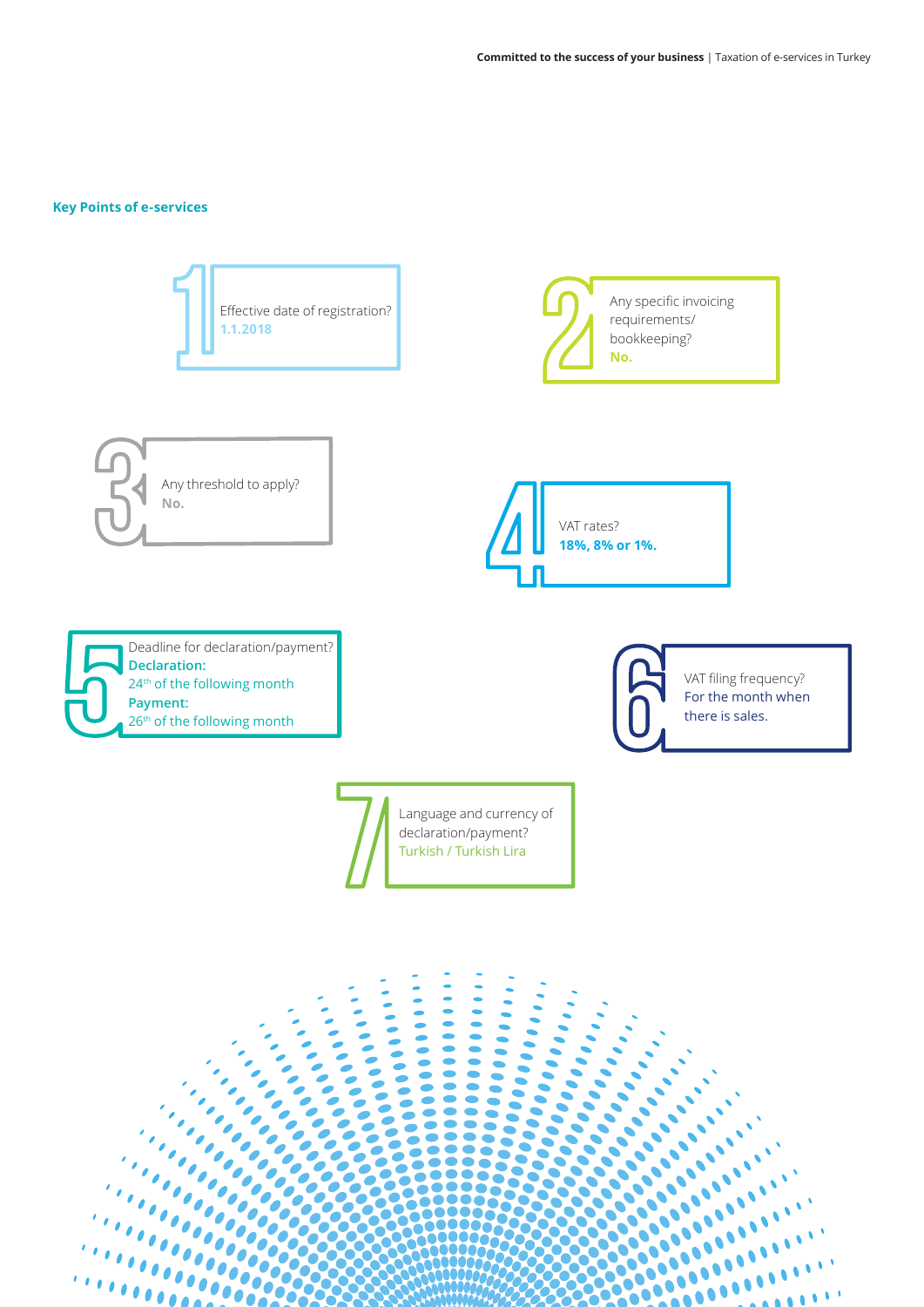# **Key Points of e-services**